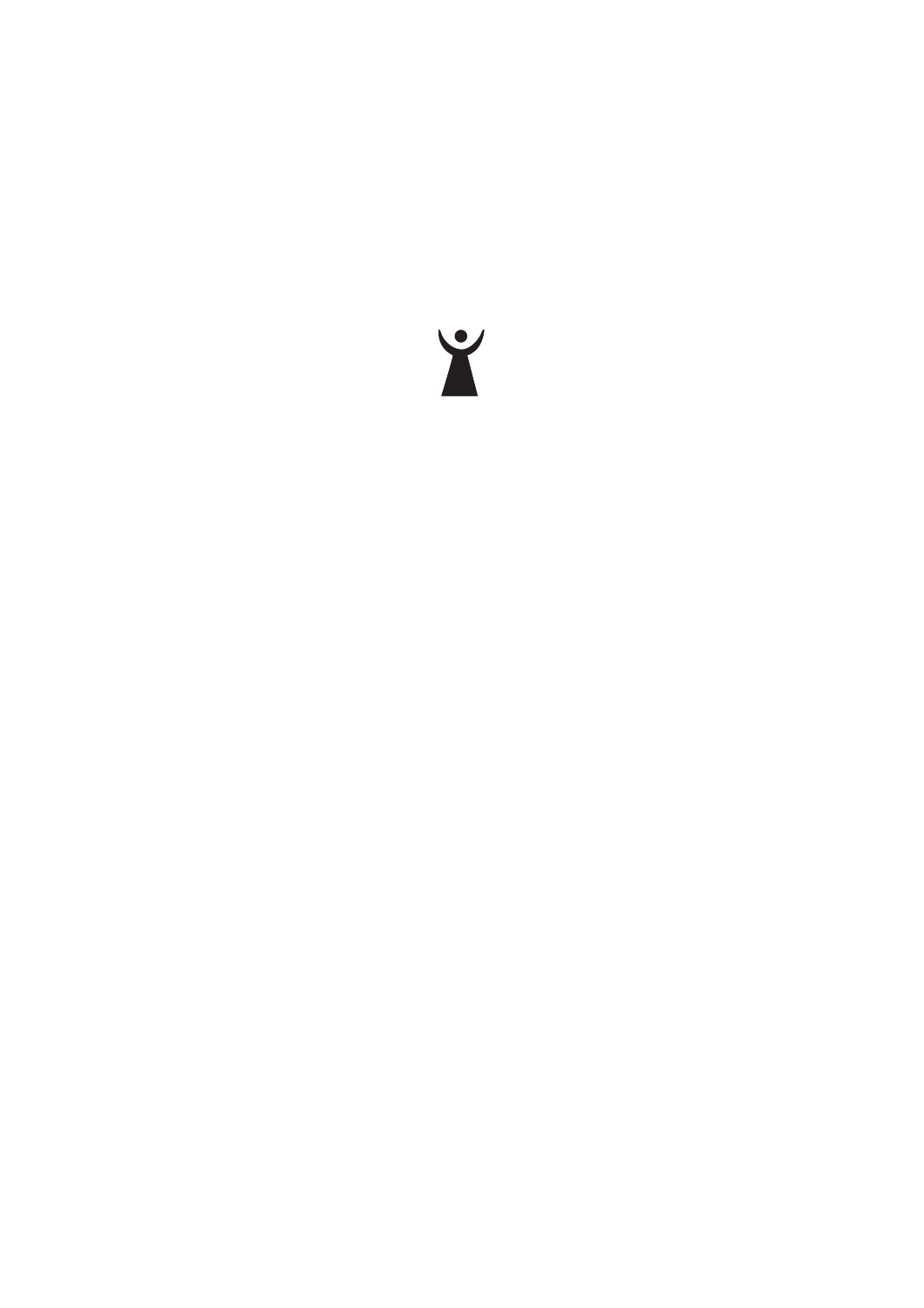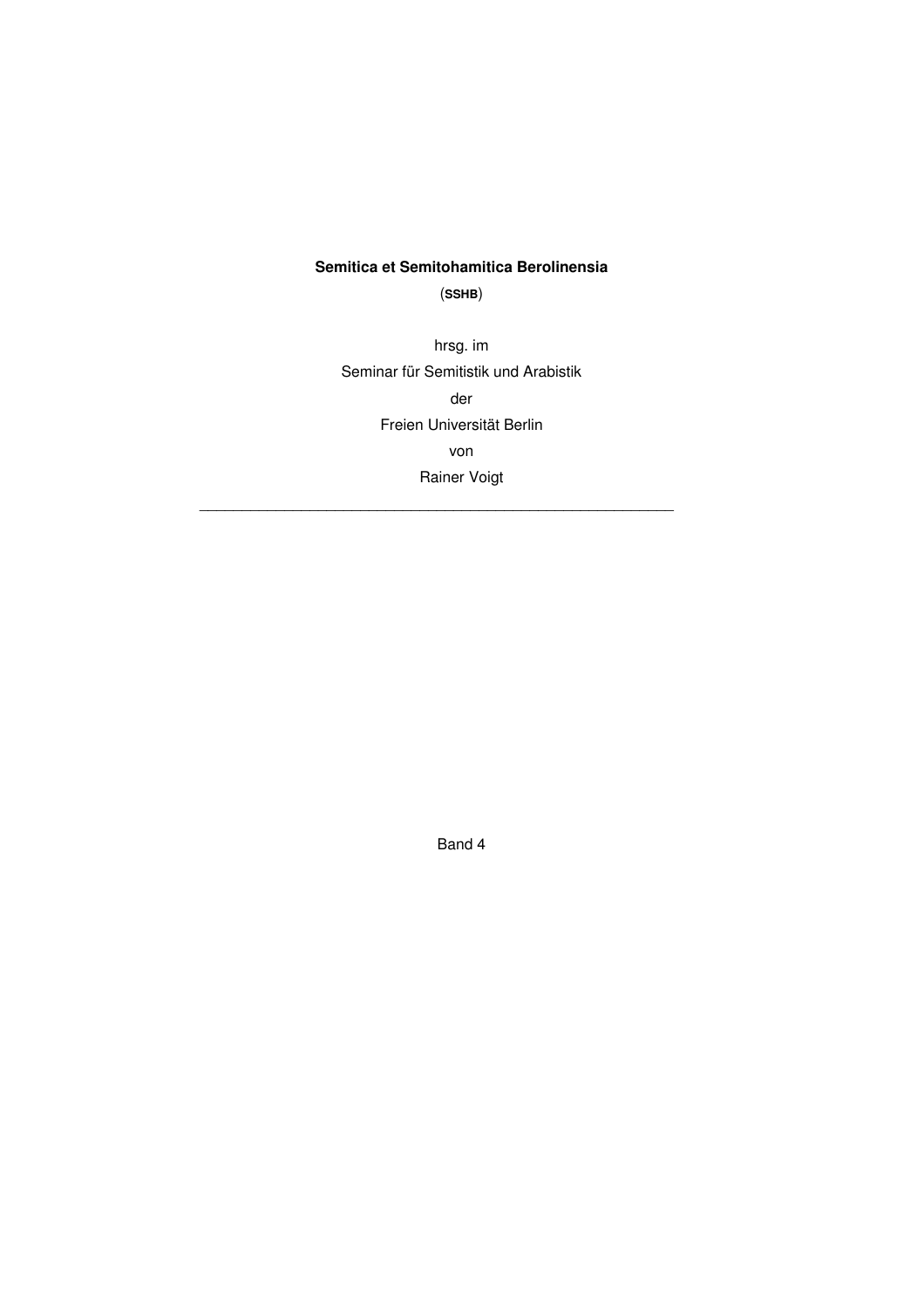## **Semitica et Semitohamitica Berolinensia**

(**SSHB**)

hrsg. im Seminar für Semitistik und Arabistik der Freien Universität Berlin von Rainer Voigt

\_\_\_\_\_\_\_\_\_\_\_\_\_\_\_\_\_\_\_\_\_\_\_\_\_\_\_\_\_\_\_\_\_\_\_\_\_\_\_\_\_\_\_\_\_\_\_\_\_\_\_\_\_\_\_\_

Band 4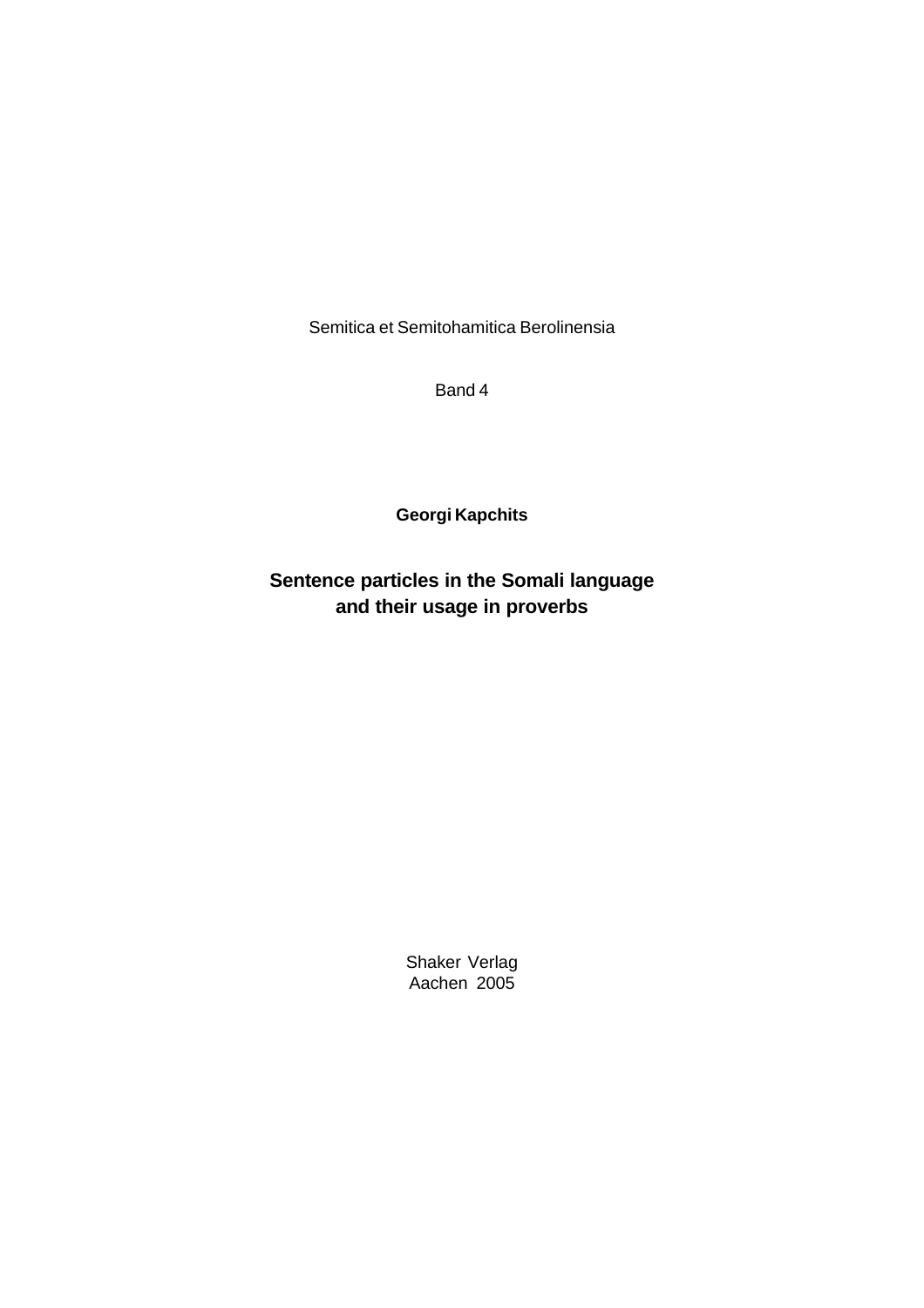Semitica et Semitohamitica Berolinensia

Band 4

## **Georgi Kapchits**

# **Sentence particles in the Somali language and their usage in proverbs**

Shaker Verlag Aachen 2005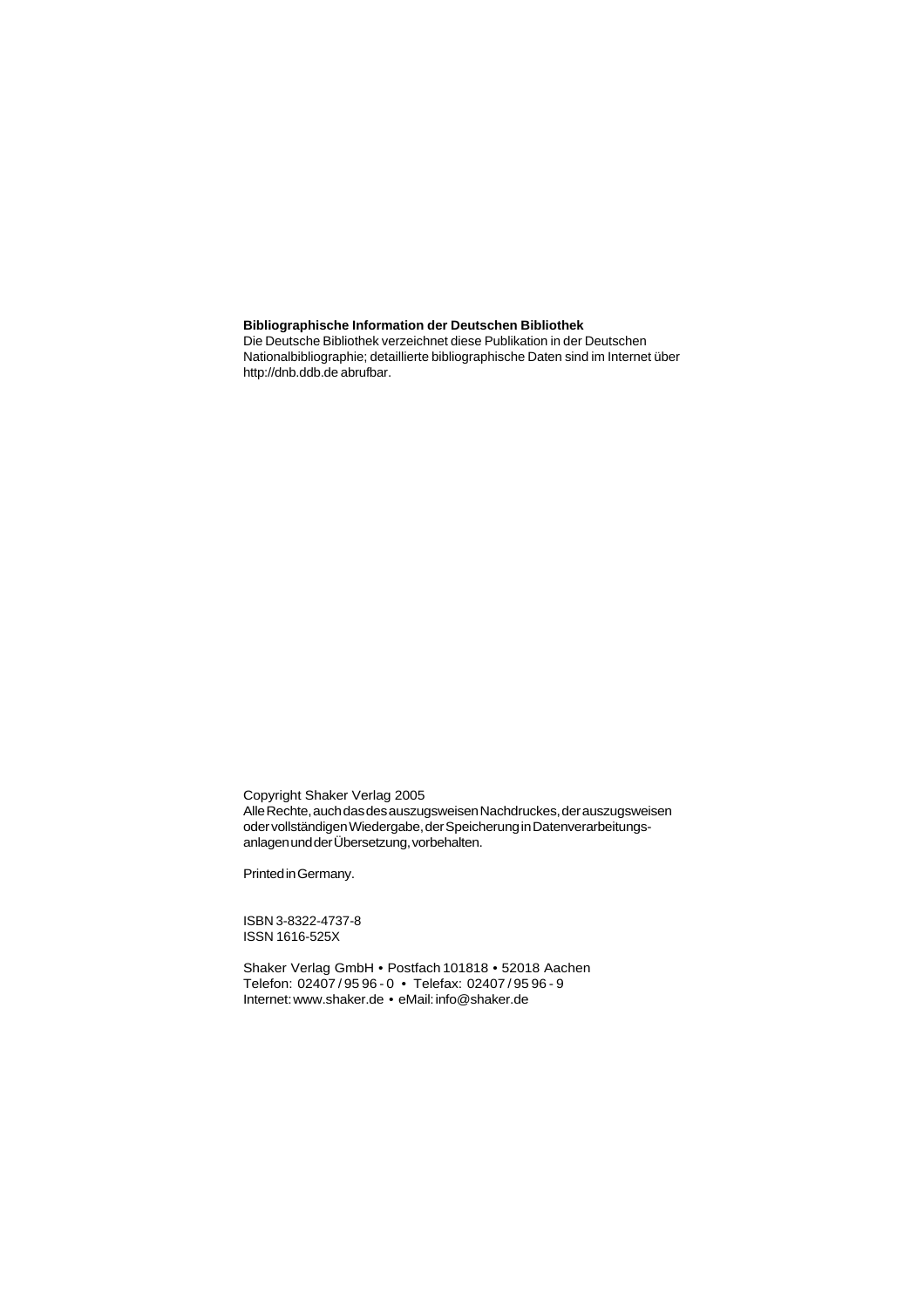#### **Bibliographische Information der Deutschen Bibliothek**

Die Deutsche Bibliothek verzeichnet diese Publikation in der Deutschen Nationalbibliographie; detaillierte bibliographische Daten sind im Internet über http://dnb.ddb.de abrufbar.

Copyright Shaker Verlag 2005

Alle Rechte, auch das des auszugsweisen Nachdruckes, der auszugsweisen oder vollständigen Wiedergabe, der Speicherung in Datenverarbeitungsanlagen und der Übersetzung, vorbehalten.

Printed in Germany.

ISBN 3-8322-4737-8 ISSN 1616-525X

Shaker Verlag GmbH • Postfach 101818 • 52018 Aachen Telefon: 02407 / 95 96 - 0 • Telefax: 02407 / 95 96 - 9 Internet: www.shaker.de • eMail: info@shaker.de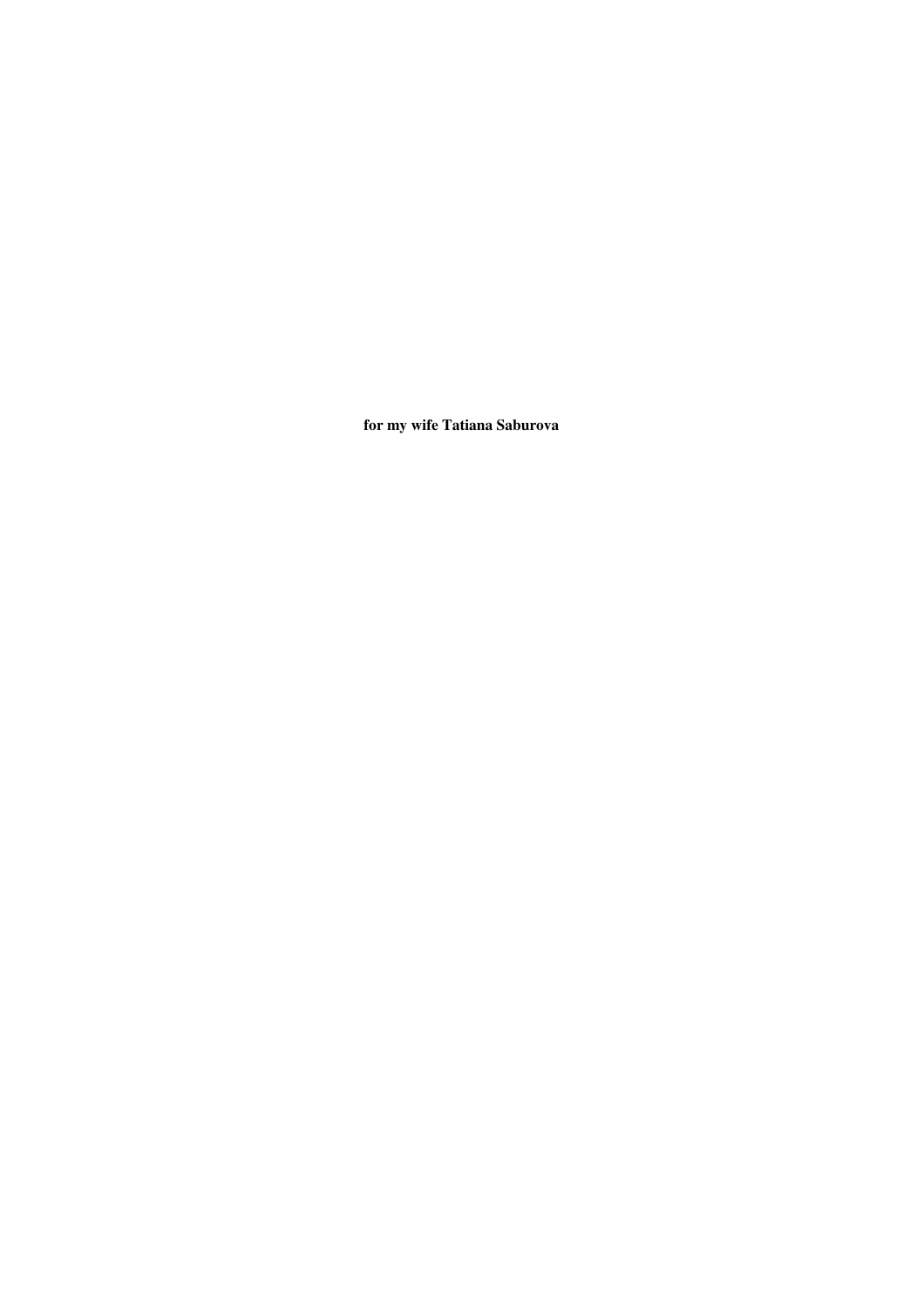**for my wife Tatiana Saburova**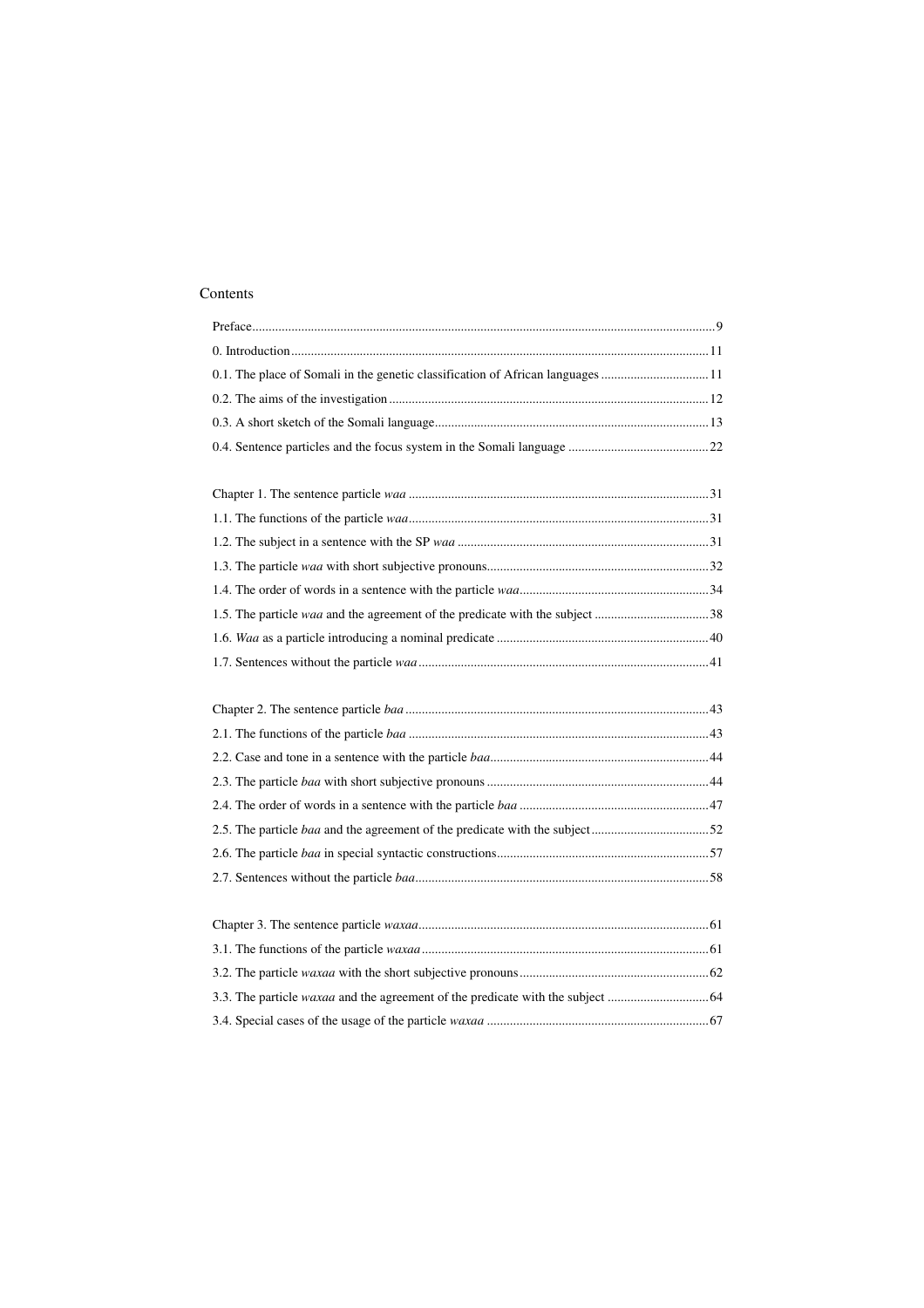### Contents

| 0.1. The place of Somali in the genetic classification of African languages 11 |  |
|--------------------------------------------------------------------------------|--|
|                                                                                |  |
|                                                                                |  |
|                                                                                |  |